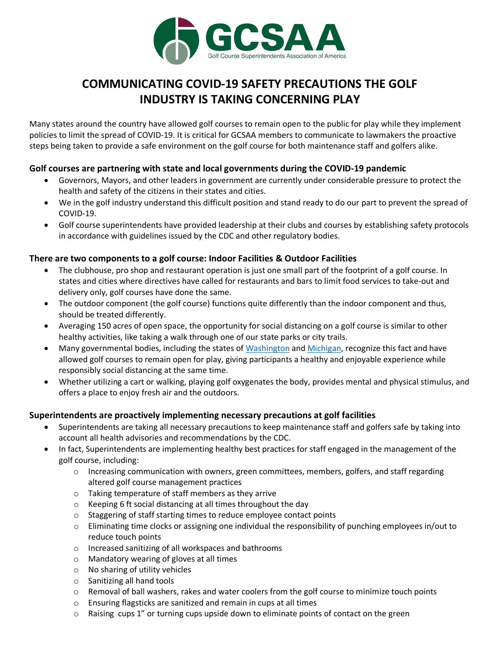

# **COMMUNICATING COVID-19 SAFETY PRECAUTIONS THE GOLF INDUSTRY IS TAKING CONCERNING PLAY**

Many states around the country have allowed golf courses to remain open to the public for play while they implement policies to limit the spread of COVID-19. It is critical for GCSAA members to communicate to lawmakers the proactive steps being taken to provide a safe environment on the golf course for both maintenance staff and golfers alike.

## **Golf courses are partnering with state and local governments during the COVID-19 pandemic**

- Governors, Mayors, and other leaders in government are currently under considerable pressure to protect the health and safety of the citizens in their states and cities.
- We in the golf industry understand this difficult position and stand ready to do our part to prevent the spread of COVID-19.
- Golf course superintendents have provided leadership at their clubs and courses by establishing safety protocols in accordance with guidelines issued by the CDC and other regulatory bodies.

## **There are two components to a golf course: Indoor Facilities & Outdoor Facilities**

- The clubhouse, pro shop and restaurant operation is just one small part of the footprint of a golf course. In states and cities where directives have called for restaurants and bars to limit food services to take-out and delivery only, golf courses have done the same.
- The outdoor component (the golf course) functions quite differently than the indoor component and thus, should be treated differently.
- Averaging 150 acres of open space, the opportunity for social distancing on a golf course is similar to other healthy activities, like taking a walk through one of our state parks or city trails.
- Many governmental bodies, including the states of Washington and [Michigan,](https://www.michigan.gov/coronavirus/0,9753,7-406-98178_98455-521884--,00.html) recognize this fact and have allowed golf courses to remain open for play, giving participants a healthy and enjoyable experience while responsibly social distancing at the same time.
- Whether utilizing a cart or walking, playing golf oxygenates the body, provides mental and physical stimulus, and offers a place to enjoy fresh air and the outdoors.

## **Superintendents are proactively implementing necessary precautions at golf facilities**

- Superintendents are taking all necessary precautions to keep maintenance staff and golfers safe by taking into account all health advisories and recommendations by the CDC.
- In fact, Superintendents are implementing healthy best practices for staff engaged in the management of the golf course, including:
	- $\circ$  Increasing communication with owners, green committees, members, golfers, and staff regarding altered golf course management practices
	- o Taking temperature of staff members as they arrive
	- o Keeping 6 ft social distancing at all times throughout the day
	- o Staggering of staff starting times to reduce employee contact points
	- o Eliminating time clocks or assigning one individual the responsibility of punching employees in/out to reduce touch points
	- o Increased sanitizing of all workspaces and bathrooms
	- o Mandatory wearing of gloves at all times
	- o No sharing of utility vehicles
	- o Sanitizing all hand tools
	- o Removal of ball washers, rakes and water coolers from the golf course to minimize touch points
	- o Ensuring flagsticks are sanitized and remain in cups at all times
	- $\circ$  Raising cups 1" or turning cups upside down to eliminate points of contact on the green